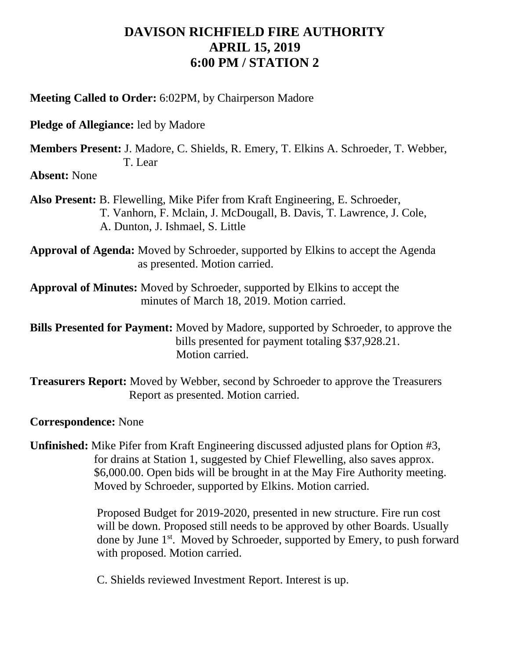## **DAVISON RICHFIELD FIRE AUTHORITY APRIL 15, 2019 6:00 PM / STATION 2**

**Meeting Called to Order:** 6:02PM, by Chairperson Madore

**Pledge of Allegiance:** led by Madore

**Members Present:** J. Madore, C. Shields, R. Emery, T. Elkins A. Schroeder, T. Webber, T. Lear

**Absent:** None

**Also Present:** B. Flewelling, Mike Pifer from Kraft Engineering, E. Schroeder, T. Vanhorn, F. Mclain, J. McDougall, B. Davis, T. Lawrence, J. Cole, A. Dunton, J. Ishmael, S. Little

**Approval of Agenda:** Moved by Schroeder, supported by Elkins to accept the Agenda as presented. Motion carried.

**Approval of Minutes:** Moved by Schroeder, supported by Elkins to accept the minutes of March 18, 2019. Motion carried.

**Bills Presented for Payment:** Moved by Madore, supported by Schroeder, to approve the bills presented for payment totaling \$37,928.21. Motion carried.

**Treasurers Report:** Moved by Webber, second by Schroeder to approve the Treasurers Report as presented. Motion carried.

**Correspondence:** None

**Unfinished:** Mike Pifer from Kraft Engineering discussed adjusted plans for Option #3, for drains at Station 1, suggested by Chief Flewelling, also saves approx. \$6,000.00. Open bids will be brought in at the May Fire Authority meeting. Moved by Schroeder, supported by Elkins. Motion carried.

 Proposed Budget for 2019-2020, presented in new structure. Fire run cost will be down. Proposed still needs to be approved by other Boards. Usually done by June 1<sup>st</sup>. Moved by Schroeder, supported by Emery, to push forward with proposed. Motion carried.

C. Shields reviewed Investment Report. Interest is up.